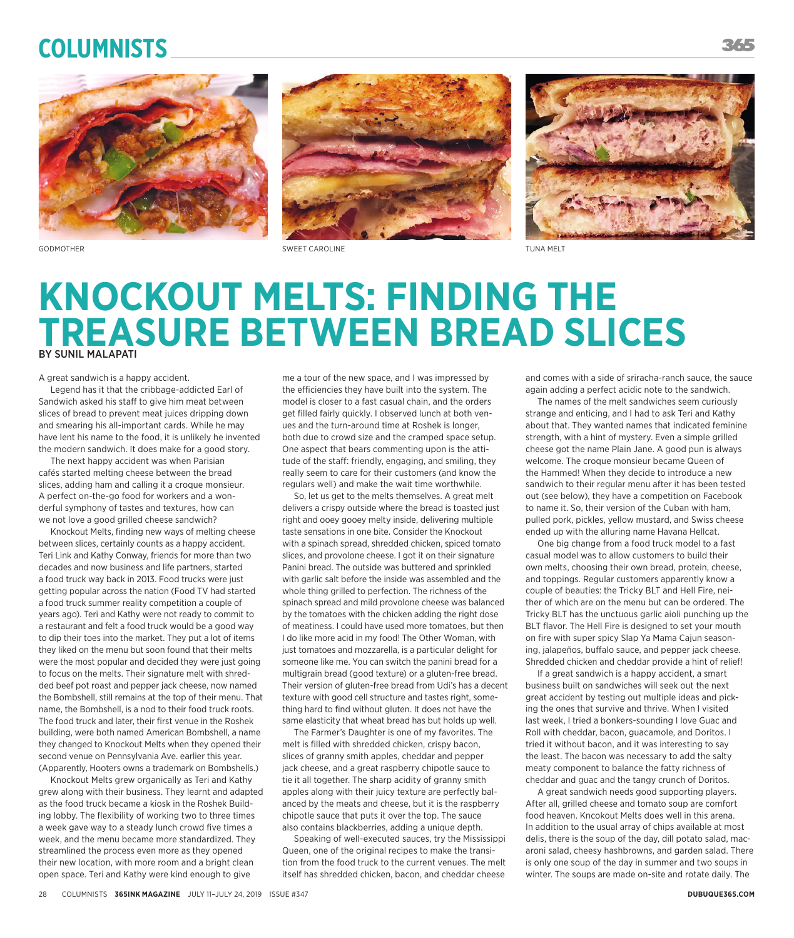## **Columnists**





GODMOTHER SWEET CAROLINE TUNA MELT



## **KNOCKOUT MELTS: FINDING THE TREASURE BETWEEN BREAD SLICES** BY SUNIL MALAPATI

A great sandwich is a happy accident.

Legend has it that the cribbage-addicted Earl of Sandwich asked his staff to give him meat between slices of bread to prevent meat juices dripping down and smearing his all-important cards. While he may have lent his name to the food, it is unlikely he invented the modern sandwich. It does make for a good story.

The next happy accident was when Parisian cafés started melting cheese between the bread slices, adding ham and calling it a croque monsieur. A perfect on-the-go food for workers and a wonderful symphony of tastes and textures, how can we not love a good grilled cheese sandwich?

Knockout Melts, finding new ways of melting cheese between slices, certainly counts as a happy accident. Teri Link and Kathy Conway, friends for more than two decades and now business and life partners, started a food truck way back in 2013. Food trucks were just getting popular across the nation (Food TV had started a food truck summer reality competition a couple of years ago). Teri and Kathy were not ready to commit to a restaurant and felt a food truck would be a good way to dip their toes into the market. They put a lot of items they liked on the menu but soon found that their melts were the most popular and decided they were just going to focus on the melts. Their signature melt with shredded beef pot roast and pepper jack cheese, now named the Bombshell, still remains at the top of their menu. That name, the Bombshell, is a nod to their food truck roots. The food truck and later, their first venue in the Roshek building, were both named American Bombshell, a name they changed to Knockout Melts when they opened their second venue on Pennsylvania Ave. earlier this year. (Apparently, Hooters owns a trademark on Bombshells.)

Knockout Melts grew organically as Teri and Kathy grew along with their business. They learnt and adapted as the food truck became a kiosk in the Roshek Building lobby. The flexibility of working two to three times a week gave way to a steady lunch crowd five times a week, and the menu became more standardized. They streamlined the process even more as they opened their new location, with more room and a bright clean open space. Teri and Kathy were kind enough to give

me a tour of the new space, and I was impressed by the efficiencies they have built into the system. The model is closer to a fast casual chain, and the orders get filled fairly quickly. I observed lunch at both venues and the turn-around time at Roshek is longer, both due to crowd size and the cramped space setup. One aspect that bears commenting upon is the attitude of the staff: friendly, engaging, and smiling, they really seem to care for their customers (and know the regulars well) and make the wait time worthwhile.

So, let us get to the melts themselves. A great melt delivers a crispy outside where the bread is toasted just right and ooey gooey melty inside, delivering multiple taste sensations in one bite. Consider the Knockout with a spinach spread, shredded chicken, spiced tomato slices, and provolone cheese. I got it on their signature Panini bread. The outside was buttered and sprinkled with garlic salt before the inside was assembled and the whole thing grilled to perfection. The richness of the spinach spread and mild provolone cheese was balanced by the tomatoes with the chicken adding the right dose of meatiness. I could have used more tomatoes, but then I do like more acid in my food! The Other Woman, with just tomatoes and mozzarella, is a particular delight for someone like me. You can switch the panini bread for a multigrain bread (good texture) or a gluten-free bread. Their version of gluten-free bread from Udi's has a decent texture with good cell structure and tastes right, something hard to find without gluten. It does not have the same elasticity that wheat bread has but holds up well.

The Farmer's Daughter is one of my favorites. The melt is filled with shredded chicken, crispy bacon, slices of granny smith apples, cheddar and pepper jack cheese, and a great raspberry chipotle sauce to tie it all together. The sharp acidity of granny smith apples along with their juicy texture are perfectly balanced by the meats and cheese, but it is the raspberry chipotle sauce that puts it over the top. The sauce also contains blackberries, adding a unique depth.

Speaking of well-executed sauces, try the Mississippi Queen, one of the original recipes to make the transition from the food truck to the current venues. The melt itself has shredded chicken, bacon, and cheddar cheese

and comes with a side of sriracha-ranch sauce, the sauce again adding a perfect acidic note to the sandwich.

The names of the melt sandwiches seem curiously strange and enticing, and I had to ask Teri and Kathy about that. They wanted names that indicated feminine strength, with a hint of mystery. Even a simple grilled cheese got the name Plain Jane. A good pun is always welcome. The croque monsieur became Queen of the Hammed! When they decide to introduce a new sandwich to their regular menu after it has been tested out (see below), they have a competition on Facebook to name it. So, their version of the Cuban with ham, pulled pork, pickles, yellow mustard, and Swiss cheese ended up with the alluring name Havana Hellcat.

One big change from a food truck model to a fast casual model was to allow customers to build their own melts, choosing their own bread, protein, cheese, and toppings. Regular customers apparently know a couple of beauties: the Tricky BLT and Hell Fire, neither of which are on the menu but can be ordered. The Tricky BLT has the unctuous garlic aioli punching up the BLT flavor. The Hell Fire is designed to set your mouth on fire with super spicy Slap Ya Mama Cajun seasoning, jalapeños, buffalo sauce, and pepper jack cheese. Shredded chicken and cheddar provide a hint of relief!

If a great sandwich is a happy accident, a smart business built on sandwiches will seek out the next great accident by testing out multiple ideas and picking the ones that survive and thrive. When I visited last week, I tried a bonkers-sounding I love Guac and Roll with cheddar, bacon, guacamole, and Doritos. I tried it without bacon, and it was interesting to say the least. The bacon was necessary to add the salty meaty component to balance the fatty richness of cheddar and guac and the tangy crunch of Doritos.

A great sandwich needs good supporting players. After all, grilled cheese and tomato soup are comfort food heaven. Kncokout Melts does well in this arena. In addition to the usual array of chips available at most delis, there is the soup of the day, dill potato salad, macaroni salad, cheesy hashbrowns, and garden salad. There is only one soup of the day in summer and two soups in winter. The soups are made on-site and rotate daily. The